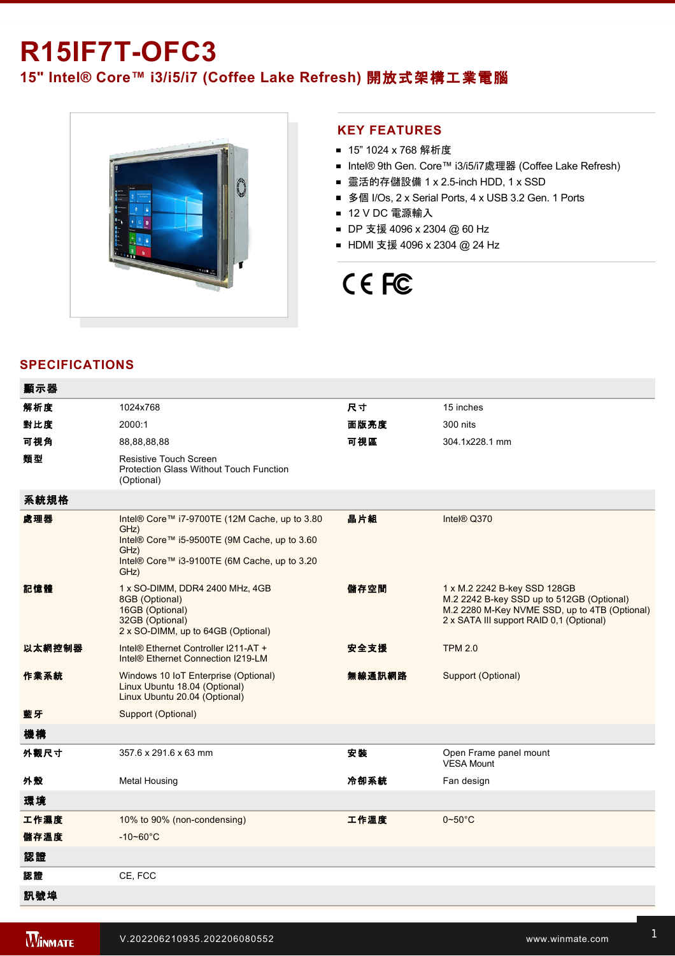# **R15IF7T-OFC3**

### **15" Intel® Core™ i3/i5/i7 (Coffee Lake Refresh)** 開放式架構工業電腦



### **KEY FEATURES**

- 15" 1024 x 768 解析度
- Intel® 9th Gen. Core™ i3/i5/i7處理器 (Coffee Lake Refresh)
- 靈活的存儲設備 1 x 2.5-inch HDD, 1 x SSD
- 多個 I/Os, 2 x Serial Ports, 4 x USB 3.2 Gen. 1 Ports
- 12 V DC 電源輸入
- DP 支援 4096 x 2304 @ 60 Hz
- HDMI 支援 4096 x 2304 @ 24 Hz

## CE FC

### **SPECIFICATIONS**

 $\overline{a}$ 

| 顯示器    |                                                                                                                                                                       |        |                                                                                                                                                                        |
|--------|-----------------------------------------------------------------------------------------------------------------------------------------------------------------------|--------|------------------------------------------------------------------------------------------------------------------------------------------------------------------------|
| 解析度    | 1024x768                                                                                                                                                              | 尺寸     | 15 inches                                                                                                                                                              |
| 對比度    | 2000:1                                                                                                                                                                | 面版亮度   | 300 nits                                                                                                                                                               |
| 可視角    | 88,88,88,88                                                                                                                                                           | 可視區    | 304.1x228.1 mm                                                                                                                                                         |
| 類型     | <b>Resistive Touch Screen</b><br><b>Protection Glass Without Touch Function</b><br>(Optional)                                                                         |        |                                                                                                                                                                        |
| 系統規格   |                                                                                                                                                                       |        |                                                                                                                                                                        |
| 處理器    | Intel® Core™ i7-9700TE (12M Cache, up to 3.80<br>GHz)<br>Intel® Core™ i5-9500TE (9M Cache, up to 3.60<br>GHz)<br>Intel® Core™ i3-9100TE (6M Cache, up to 3.20<br>GHz) | 晶片組    | Intel® Q370                                                                                                                                                            |
| 記憶體    | 1 x SO-DIMM, DDR4 2400 MHz, 4GB<br>8GB (Optional)<br>16GB (Optional)<br>32GB (Optional)<br>2 x SO-DIMM, up to 64GB (Optional)                                         | 儲存空間   | 1 x M.2 2242 B-key SSD 128GB<br>M.2 2242 B-key SSD up to 512GB (Optional)<br>M.2 2280 M-Key NVME SSD, up to 4TB (Optional)<br>2 x SATA III support RAID 0,1 (Optional) |
| 以太網控制器 | Intel® Ethernet Controller I211-AT +<br>Intel <sup>®</sup> Ethernet Connection I219-LM                                                                                | 安全支援   | <b>TPM 2.0</b>                                                                                                                                                         |
| 作業系統   | Windows 10 IoT Enterprise (Optional)<br>Linux Ubuntu 18.04 (Optional)<br>Linux Ubuntu 20.04 (Optional)                                                                | 無線通訊網路 | Support (Optional)                                                                                                                                                     |
| 藍牙     | Support (Optional)                                                                                                                                                    |        |                                                                                                                                                                        |
| 機構     |                                                                                                                                                                       |        |                                                                                                                                                                        |
| 外觀尺寸   | 357.6 x 291.6 x 63 mm                                                                                                                                                 | 安装     | Open Frame panel mount<br><b>VESA Mount</b>                                                                                                                            |
| 外殼     | <b>Metal Housing</b>                                                                                                                                                  | 冷卻系統   | Fan design                                                                                                                                                             |
| 環境     |                                                                                                                                                                       |        |                                                                                                                                                                        |
| 工作濕度   | 10% to 90% (non-condensing)                                                                                                                                           | 工作溫度   | $0\nightharpoonup 50^\circ C$                                                                                                                                          |
| 儲存溫度   | $-10 - 60^{\circ}$ C                                                                                                                                                  |        |                                                                                                                                                                        |
| 認證     |                                                                                                                                                                       |        |                                                                                                                                                                        |
| 認證     | CE, FCC                                                                                                                                                               |        |                                                                                                                                                                        |
| 訊號埠    |                                                                                                                                                                       |        |                                                                                                                                                                        |
|        |                                                                                                                                                                       |        |                                                                                                                                                                        |